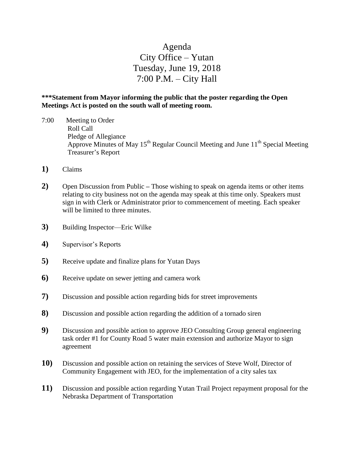# Agenda City Office – Yutan Tuesday, June 19, 2018 7:00 P.M. – City Hall

### **\*\*\*Statement from Mayor informing the public that the poster regarding the Open Meetings Act is posted on the south wall of meeting room.**

- 7:00 Meeting to Order Roll Call Pledge of Allegiance Approve Minutes of May 15<sup>th</sup> Regular Council Meeting and June 11<sup>th</sup> Special Meeting Treasurer's Report
- **1)** Claims
- **2)** Open Discussion from Public **–** Those wishing to speak on agenda items or other items relating to city business not on the agenda may speak at this time only. Speakers must sign in with Clerk or Administrator prior to commencement of meeting. Each speaker will be limited to three minutes.
- **3)** Building Inspector—Eric Wilke
- **4)** Supervisor's Reports
- **5)** Receive update and finalize plans for Yutan Days
- **6)** Receive update on sewer jetting and camera work
- **7)** Discussion and possible action regarding bids for street improvements
- **8)** Discussion and possible action regarding the addition of a tornado siren
- **9)** Discussion and possible action to approve JEO Consulting Group general engineering task order #1 for County Road 5 water main extension and authorize Mayor to sign agreement
- **10)** Discussion and possible action on retaining the services of Steve Wolf, Director of Community Engagement with JEO, for the implementation of a city sales tax
- **11)** Discussion and possible action regarding Yutan Trail Project repayment proposal for the Nebraska Department of Transportation